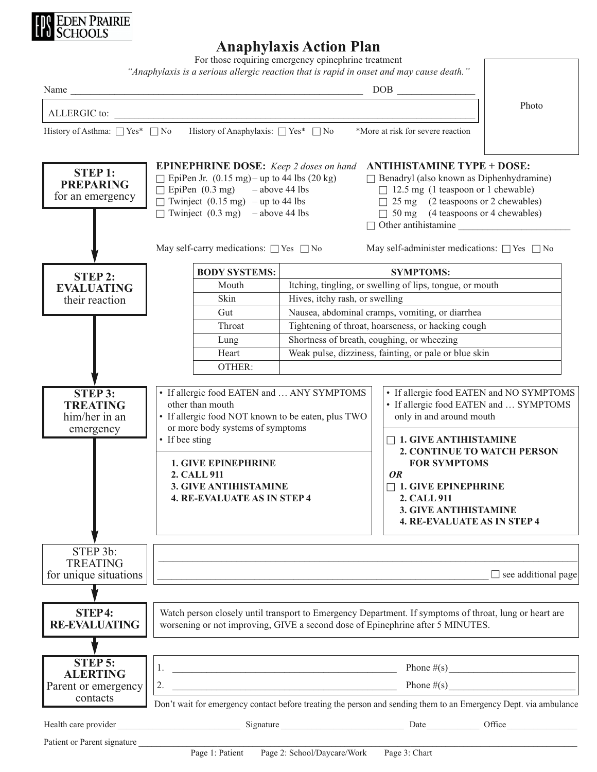

## **Anaphylaxis Action Plan**

For those requiring emergency epinephrine treatment

|                                                                 | "Anaphylaxis is a serious allergic reaction that is rapid in onset and may cause death."                                                                                                                                                                                                |                                                                                                     |                                                                                                                                                                                                                                                                                                                                      |                            |  |
|-----------------------------------------------------------------|-----------------------------------------------------------------------------------------------------------------------------------------------------------------------------------------------------------------------------------------------------------------------------------------|-----------------------------------------------------------------------------------------------------|--------------------------------------------------------------------------------------------------------------------------------------------------------------------------------------------------------------------------------------------------------------------------------------------------------------------------------------|----------------------------|--|
|                                                                 | Name                                                                                                                                                                                                                                                                                    |                                                                                                     |                                                                                                                                                                                                                                                                                                                                      |                            |  |
| ALLERGIC to:                                                    |                                                                                                                                                                                                                                                                                         |                                                                                                     |                                                                                                                                                                                                                                                                                                                                      | Photo                      |  |
| History of Asthma: $\Box$ Yes* $\Box$ No                        | History of Anaphylaxis: $\Box$ Yes* $\Box$ No                                                                                                                                                                                                                                           |                                                                                                     | *More at risk for severe reaction                                                                                                                                                                                                                                                                                                    |                            |  |
|                                                                 |                                                                                                                                                                                                                                                                                         |                                                                                                     |                                                                                                                                                                                                                                                                                                                                      |                            |  |
| <b>STEP1:</b><br><b>PREPARING</b><br>for an emergency           | <b>EPINEPHRINE DOSE:</b> Keep 2 doses on hand<br>$\Box$ EpiPen Jr. (0.15 mg) – up to 44 lbs (20 kg)<br>$\Box$ EpiPen (0.3 mg) – above 44 lbs<br>$\Box$ Twinject (0.15 mg) – up to 44 lbs<br>$\Box$ Twinject (0.3 mg) – above 44 lbs<br>May self-carry medications: $\Box$ Yes $\Box$ No |                                                                                                     | <b>ANTIHISTAMINE TYPE + DOSE:</b><br>$\Box$ Benadryl (also known as Diphenhydramine)<br>$\Box$ 12.5 mg (1 teaspoon or 1 chewable)<br>$\Box$ 25 mg (2 teaspoons or 2 chewables)<br>$\Box$ 50 mg (4 teaspoons or 4 chewables)<br>$\Box$ Other antihistamine<br>May self-administer medications: $\Box$ Yes $\Box$ No                   |                            |  |
|                                                                 | <b>BODY SYSTEMS:</b>                                                                                                                                                                                                                                                                    |                                                                                                     | <b>SYMPTOMS:</b>                                                                                                                                                                                                                                                                                                                     |                            |  |
| <b>STEP 2:</b><br><b>EVALUATING</b><br>their reaction           | Mouth                                                                                                                                                                                                                                                                                   | Itching, tingling, or swelling of lips, tongue, or mouth                                            |                                                                                                                                                                                                                                                                                                                                      |                            |  |
|                                                                 | Skin                                                                                                                                                                                                                                                                                    | Hives, itchy rash, or swelling                                                                      |                                                                                                                                                                                                                                                                                                                                      |                            |  |
|                                                                 | Gut                                                                                                                                                                                                                                                                                     | Nausea, abdominal cramps, vomiting, or diarrhea                                                     |                                                                                                                                                                                                                                                                                                                                      |                            |  |
|                                                                 | Throat                                                                                                                                                                                                                                                                                  | Tightening of throat, hoarseness, or hacking cough                                                  |                                                                                                                                                                                                                                                                                                                                      |                            |  |
|                                                                 | Lung                                                                                                                                                                                                                                                                                    | Shortness of breath, coughing, or wheezing<br>Weak pulse, dizziness, fainting, or pale or blue skin |                                                                                                                                                                                                                                                                                                                                      |                            |  |
|                                                                 | Heart                                                                                                                                                                                                                                                                                   |                                                                                                     |                                                                                                                                                                                                                                                                                                                                      |                            |  |
|                                                                 | OTHER:                                                                                                                                                                                                                                                                                  |                                                                                                     |                                                                                                                                                                                                                                                                                                                                      |                            |  |
| <b>STEP 3:</b><br><b>TREATING</b><br>him/her in an<br>emergency | • If allergic food EATEN and  ANY SYMPTOMS<br>other than mouth<br>• If allergic food NOT known to be eaten, plus TWO<br>or more body systems of symptoms<br>• If bee sting<br><b>1. GIVE EPINEPHRINE</b><br>2. CALL 911<br>3. GIVE ANTIHISTAMINE<br>4. RE-EVALUATE AS IN STEP 4         |                                                                                                     | • If allergic food EATEN and NO SYMPTOMS<br>• If allergic food EATEN and  SYMPTOMS<br>only in and around mouth<br>$\Box$ 1. GIVE ANTIHISTAMINE<br><b>2. CONTINUE TO WATCH PERSON</b><br><b>FOR SYMPTOMS</b><br>OR<br>$\Box$ 1. GIVE EPINEPHRINE<br>2. CALL 911<br><b>3. GIVE ANTIHISTAMINE</b><br><b>4. RE-EVALUATE AS IN STEP 4</b> |                            |  |
| STEP 3b:<br><b>TREATING</b><br>for unique situations            |                                                                                                                                                                                                                                                                                         |                                                                                                     |                                                                                                                                                                                                                                                                                                                                      | $\Box$ see additional page |  |
| <b>STEP4:</b><br><b>RE-EVALUATING</b>                           | Watch person closely until transport to Emergency Department. If symptoms of throat, lung or heart are<br>worsening or not improving, GIVE a second dose of Epinephrine after 5 MINUTES.                                                                                                |                                                                                                     |                                                                                                                                                                                                                                                                                                                                      |                            |  |
| <b>STEP 5:</b>                                                  |                                                                                                                                                                                                                                                                                         |                                                                                                     |                                                                                                                                                                                                                                                                                                                                      |                            |  |
| <b>ALERTING</b>                                                 |                                                                                                                                                                                                                                                                                         |                                                                                                     |                                                                                                                                                                                                                                                                                                                                      |                            |  |
| Parent or emergency                                             | 2.                                                                                                                                                                                                                                                                                      | Phone $\#(s)$                                                                                       |                                                                                                                                                                                                                                                                                                                                      |                            |  |
| contacts                                                        | Don't wait for emergency contact before treating the person and sending them to an Emergency Dept. via ambulance                                                                                                                                                                        |                                                                                                     |                                                                                                                                                                                                                                                                                                                                      |                            |  |
|                                                                 |                                                                                                                                                                                                                                                                                         |                                                                                                     |                                                                                                                                                                                                                                                                                                                                      |                            |  |
| Patient or Parent signature                                     |                                                                                                                                                                                                                                                                                         |                                                                                                     |                                                                                                                                                                                                                                                                                                                                      |                            |  |